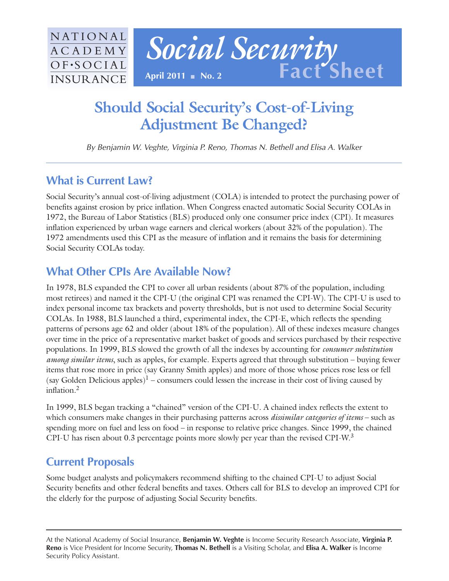

# **Should Social Security's Cost-of-Living Adjustment Be Changed?**

By Benjamin W. Veghte, Virginia P. Reno, Thomas N. Bethell and Elisa A. Walker

## **What is Current Law?**

Social Security's annual cost-of-living adjustment (COLA) is intended to protect the purchasing power of benefits against erosion by price inflation. When Congress enacted automatic Social Security COLAs in 1972, the Bureau of Labor Statistics (BLS) produced only one consumer price index (CPI). It measures inflation experienced by urban wage earners and clerical workers (about 32% of the population). The 1972 amendments used this CPI as the measure of inflation and it remains the basis for determining Social Security COLAs today.

## **What Other CPIs Are Available Now?**

In 1978, BLS expanded the CPI to cover all urban residents (about 87% of the population, including most retirees) and named it the CPI-U (the original CPI was renamed the CPI-W). The CPI-U is used to index personal income tax brackets and poverty thresholds, but is not used to determine Social Security COLAs. In 1988, BLS launched a third, experimental index, the CPI-E, which reflects the spending patterns of persons age 62 and older (about 18% of the population). All of these indexes measure changes over time in the price of a representative market basket of goods and services purchased by their respective populations. In 1999, BLS slowed the growth of all the indexes by accounting for *consumer substitution among similar items*, such as apples, for example. Experts agreed that through substitution – buying fewer items that rose more in price (say Granny Smith apples) and more of those whose prices rose less or fell (say Golden Delicious apples)<sup>1</sup> – consumers could lessen the increase in their cost of living caused by inflation $^2$ 

In 1999, BLS began tracking a "chained" version of the CPI-U. A chained index reflects the extent to which consumers make changes in their purchasing patterns across *dissimilar categories of items* – such as spending more on fuel and less on food – in response to relative price changes. Since 1999, the chained CPI-U has risen about 0.3 percentage points more slowly per year than the revised CPI-W.3

## **Current Proposals**

Some budget analysts and policymakers recommend shifting to the chained CPI-U to adjust Social Security benefits and other federal benefits and taxes. Others call for BLS to develop an improved CPI for the elderly for the purpose of adjusting Social Security benefits.

At the National Academy of Social Insurance, **Benjamin W. Veghte** is Income Security Research Associate, **Virginia P. Reno** is Vice President for Income Security, **Thomas N. Bethell** is a Visiting Scholar, and **Elisa A. Walker** is Income Security Policy Assistant.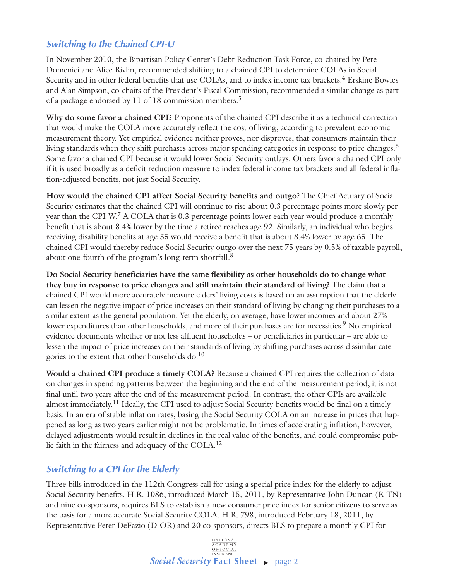### **Switching to the Chained CPI-U**

In November 2010, the Bipartisan Policy Center's Debt Reduction Task Force, co-chaired by Pete Domenici and Alice Rivlin, recommended shifting to a chained CPI to determine COLAs in Social Security and in other federal benefits that use COLAs, and to index income tax brackets.<sup>4</sup> Erskine Bowles and Alan Simpson, co-chairs of the President's Fiscal Commission, recommended a similar change as part of a package endorsed by 11 of 18 commission members.5

**Why do some favor a chained CPI?** Proponents of the chained CPI describe it as a technical correction that would make the COLA more accurately reflect the cost of living, according to prevalent economic measurement theory. Yet empirical evidence neither proves, nor disproves, that consumers maintain their living standards when they shift purchases across major spending categories in response to price changes.<sup>6</sup> Some favor a chained CPI because it would lower Social Security outlays. Others favor a chained CPI only if it is used broadly as a deficit reduction measure to index federal income tax brackets and all federal inflation-adjusted benefits, not just Social Security.

**How would the chained CPI affect Social Security benefits and outgo?** The Chief Actuary of Social Security estimates that the chained CPI will continue to rise about 0.3 percentage points more slowly per year than the CPI-W.<sup>7</sup> A COLA that is 0.3 percentage points lower each year would produce a monthly benefit that is about 8.4% lower by the time a retiree reaches age 92. Similarly, an individual who begins receiving disability benefits at age 35 would receive a benefit that is about 8.4% lower by age 65. The chained CPI would thereby reduce Social Security outgo over the next 75 years by 0.5% of taxable payroll, about one-fourth of the program's long-term shortfall.<sup>8</sup>

**Do Social Security beneficiaries have the same flexibility as other households do to change what they buy in response to price changes and still maintain their standard of living?** The claim that a chained CPI would more accurately measure elders' living costs is based on an assumption that the elderly can lessen the negative impact of price increases on their standard of living by changing their purchases to a similar extent as the general population. Yet the elderly, on average, have lower incomes and about 27% lower expenditures than other households, and more of their purchases are for necessities.<sup>9</sup> No empirical evidence documents whether or not less affluent households – or beneficiaries in particular – are able to lessen the impact of price increases on their standards of living by shifting purchases across dissimilar categories to the extent that other households  $do.<sup>10</sup>$ 

**Would a chained CPI produce a timely COLA?** Because a chained CPI requires the collection of data on changes in spending patterns between the beginning and the end of the measurement period, it is not final until two years after the end of the measurement period. In contrast, the other CPIs are available almost immediately.<sup>11</sup> Ideally, the CPI used to adjust Social Security benefits would be final on a timely basis. In an era of stable inflation rates, basing the Social Security COLA on an increase in prices that happened as long as two years earlier might not be problematic. In times of accelerating inflation, however, delayed adjustments would result in declines in the real value of the benefits, and could compromise public faith in the fairness and adequacy of the COLA.<sup>12</sup>

### **Switching to a CPI for the Elderly**

Three bills introduced in the 112th Congress call for using a special price index for the elderly to adjust Social Security benefits. H.R. 1086, introduced March 15, 2011, by Representative John Duncan (R-TN) and nine co-sponsors, requires BLS to establish a new consumer price index for senior citizens to serve as the basis for a more accurate Social Security COLA. H.R. 798, introduced February 18, 2011, by Representative Peter DeFazio (D-OR) and 20 co-sponsors, directs BLS to prepare a monthly CPI for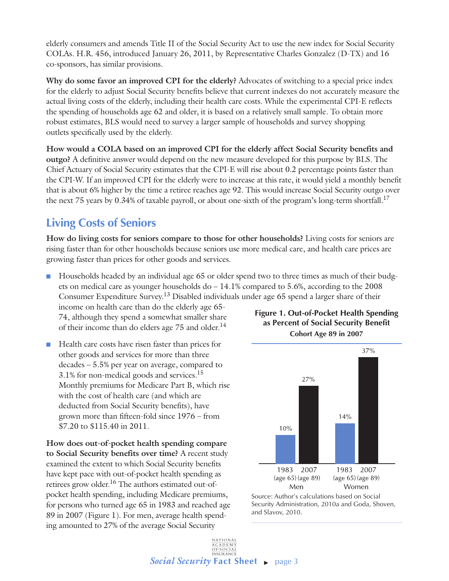elderly consumers and amends Title II of the Social Security Act to use the new index for Social Security COLAs. H.R. 456, introduced January 26, 2011, by Representative Charles Gonzalez (D-TX) and 16 co-sponsors, has similar provisions.

**Why do some favor an improved CPI for the elderly?** Advocates of switching to a special price index for the elderly to adjust Social Security benefits believe that current indexes do not accurately measure the actual living costs of the elderly, including their health care costs. While the experimental CPI-E reflects the spending of households age 62 and older, it is based on a relatively small sample. To obtain more robust estimates, BLS would need to survey a larger sample of households and survey shopping outlets specifically used by the elderly.

**How would a COLA based on an improved CPI for the elderly affect Social Security benefits and outgo?** A definitive answer would depend on the new measure developed for this purpose by BLS. The Chief Actuary of Social Security estimates that the CPI-E will rise about 0.2 percentage points faster than the CPI-W. If an improved CPI for the elderly were to increase at this rate, it would yield a monthly benefit that is about 6% higher by the time a retiree reaches age 92. This would increase Social Security outgo over the next 75 years by 0.34% of taxable payroll, or about one-sixth of the program's long-term shortfall.<sup>17</sup>

## **Living Costs of Seniors**

**How do living costs for seniors compare to those for other households?** Living costs for seniors are rising faster than for other households because seniors use more medical care, and health care prices are growing faster than prices for other goods and services.

n Households headed by an individual age 65 or older spend two to three times as much of their budgets on medical care as younger households do – 14.1% compared to 5.6%, according to the 2008 Consumer Expenditure Survey.13 Disabled individuals under age 65 spend a larger share of their

income on health care than do the elderly age 65- 74, although they spend a somewhat smaller share of their income than do elders age  $75$  and older.<sup>14</sup>

■ Health care costs have risen faster than prices for other goods and services for more than three decades – 5.5% per year on average, compared to 3.1% for non-medical goods and services.15 Monthly premiums for Medicare Part B, which rise with the cost of health care (and which are deducted from Social Security benefits), have grown more than fifteen-fold since 1976 – from \$7.20 to \$115.40 in 2011.

**How does out-of-pocket health spending compare to Social Security benefits over time?** A recent study examined the extent to which Social Security benefits have kept pace with out-of-pocket health spending as retirees grow older.<sup>16</sup> The authors estimated out-ofpocket health spending, including Medicare premiums, for persons who turned age 65 in 1983 and reached age 89 in 2007 (Figure 1). For men, average health spending amounted to 27% of the average Social Security





Source: Author's calculations based on Social Security Administration, 2010a and Goda, Shoven, and Slavov, 2010.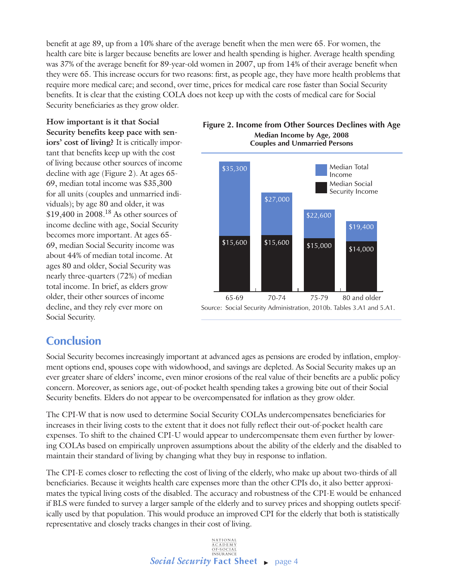benefit at age 89, up from a 10% share of the average benefit when the men were 65. For women, the health care bite is larger because benefits are lower and health spending is higher. Average health spending was 37% of the average benefit for 89-year-old women in 2007, up from 14% of their average benefit when they were 65. This increase occurs for two reasons: first, as people age, they have more health problems that require more medical care; and second, over time, prices for medical care rose faster than Social Security benefits. It is clear that the existing COLA does not keep up with the costs of medical care for Social Security beneficiaries as they grow older.

**How important is it that Social Security benefits keep pace with seniors' cost of living?** It is critically important that benefits keep up with the cost of living because other sources of income decline with age (Figure 2). At ages 65- 69, median total income was \$35,300 for all units (couples and unmarried individuals); by age 80 and older, it was \$19,400 in 2008.18 As other sources of income decline with age, Social Security becomes more important. At ages 65- 69, median Social Security income was about 44% of median total income. At ages 80 and older, Social Security was nearly three-quarters (72%) of median total income. In brief, as elders grow older, their other sources of income decline, and they rely ever more on Social Security.





## **Conclusion**

Social Security becomes increasingly important at advanced ages as pensions are eroded by inflation, employment options end, spouses cope with widowhood, and savings are depleted. As Social Security makes up an ever greater share of elders' income, even minor erosions of the real value of their benefits are a public policy concern. Moreover, as seniors age, out-of-pocket health spending takes a growing bite out of their Social Security benefits. Elders do not appear to be overcompensated for inflation as they grow older.

The CPI-W that is now used to determine Social Security COLAs undercompensates beneficiaries for increases in their living costs to the extent that it does not fully reflect their out-of-pocket health care expenses. To shift to the chained CPI-U would appear to undercompensate them even further by lowering COLAs based on empirically unproven assumptions about the ability of the elderly and the disabled to maintain their standard of living by changing what they buy in response to inflation.

The CPI-E comes closer to reflecting the cost of living of the elderly, who make up about two-thirds of all beneficiaries. Because it weights health care expenses more than the other CPIs do, it also better approximates the typical living costs of the disabled. The accuracy and robustness of the CPI-E would be enhanced if BLS were funded to survey a larger sample of the elderly and to survey prices and shopping outlets specifically used by that population. This would produce an improved CPI for the elderly that both is statistically representative and closely tracks changes in their cost of living.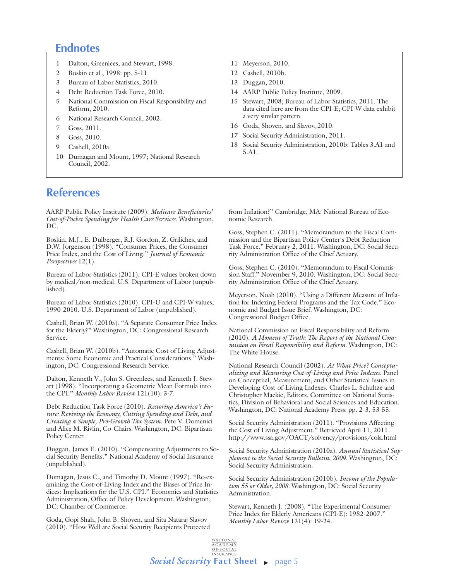### **Endnotes**

- 1 Dalton, Greenlees, and Stewart, 1998.
- 2 Boskin et al., 1998: pp. 5-11
- 3 Bureau of Labor Statistics, 2010.
- 4 Debt Reduction Task Force, 2010.
- 5 National Commission on Fiscal Responsibility and Reform, 2010.
- 6 National Research Council, 2002.
- 7 Goss, 2011.
- 8 Goss, 2010.
- 9 Cashell, 2010a.
- 10 Dumagan and Mount, 1997; National Research Council, 2002.

### **References**

AARP Public Policy Institute (2009). *Medicare Beneficiaries' Out-of-Pocket Spending for Health Care Services*. Washington, DC.

Boskin, M.J., E. Dulberger, R.J. Gordon, Z. Griliches, and D.W. Jorgenson (1998). "Consumer Prices, the Consumer Price Index, and the Cost of Living." *Journal of Economic Perspectives* 12(1).

Bureau of Labor Statistics (2011). CPI-E values broken down by medical/non-medical. U.S. Department of Labor (unpublished).

Bureau of Labor Statistics (2010). CPI-U and CPI-W values, 1990-2010. U.S. Department of Labor (unpublished).

Cashell, Brian W. (2010a). "A Separate Consumer Price Index for the Elderly?" Washington, DC: Congressional Research Service.

Cashell, Brian W. (2010b). "Automatic Cost of Living Adjustments: Some Economic and Practical Considerations." Washington, DC: Congressional Research Service.

Dalton, Kenneth V., John S. Greenlees, and Kenneth J. Stewart (1998). "Incorporating a Geometric Mean Formula into the CPI." *Monthly Labor Review* 121(10): 3-7.

Debt Reduction Task Force (2010). *Restoring America's Future: Reviving the Economy, Cutting Spending and Debt, and Creating a Simple, Pro-Growth Tax System.* Pete V. Domenici and Alice M. Rivlin, Co-Chairs. Washington, DC: Bipartisan Policy Center.

Duggan, James E. (2010). "Compensating Adjustments to Social Security Benefits." National Academy of Social Insurance (unpublished).

Dumagan, Jesus C., and Timothy D. Mount (1997). "Re-examining the Cost-of-Living Index and the Biases of Price Indices: Implications for the U.S. CPI." Economics and Statistics Administration, Office of Policy Development. Washington, DC: Chamber of Commerce.

Goda, Gopi Shah, John B. Shoven, and Sita Nataraj Slavov (2010). "How Well are Social Security Recipients Protected

- 11 Meyerson, 2010.
- 12 Cashell, 2010b.
- 13 Duggan, 2010.
- 14 AARP Public Policy Institute, 2009.
- 15 Stewart, 2008; Bureau of Labor Statistics, 2011. The data cited here are from the CPI-E; CPI-W data exhibit a very similar pattern.
- 16 Goda, Shoven, and Slavov, 2010.
- 17 Social Security Administration, 2011.
- 18 Social Security Administration, 2010b: Tables 3.A1 and 5.A1.

from Inflation?" Cambridge, MA: National Bureau of Economic Research.

Goss, Stephen C. (2011). "Memorandum to the Fiscal Commission and the Bipartisan Policy Center's Debt Reduction Task Force." February 2, 2011. Washington, DC: Social Security Administration Office of the Chief Actuary.

Goss, Stephen C. (2010). "Memorandum to Fiscal Commission Staff." November 9, 2010. Washington, DC: Social Security Administration Office of the Chief Actuary.

Meyerson, Noah (2010). "Using a Different Measure of Inflation for Indexing Federal Programs and the Tax Code." Economic and Budget Issue Brief. Washington, DC: Congressional Budget Office.

National Commission on Fiscal Responsibility and Reform (2010). *A Moment of Truth: The Report of the National Commission on Fiscal Responsibility and Reform*. Washington, DC: The White House.

National Research Council (2002). *At What Price? Conceptualizing and Measuring Cost-of-Living and Price Indexes*. Panel on Conceptual, Measurement, and Other Statistical Issues in Developing Cost-of-Living Indexes. Charles L. Schultze and Christopher Mackie, Editors. Committee on National Statistics, Division of Behavioral and Social Sciences and Education. Washington, DC: National Academy Press: pp. 2-3, 53-55.

Social Security Administration (2011). "Provisions Affecting the Cost of Living Adjustment." Retrieved April 11, 2011. http://www.ssa.gov/OACT/solvency/provisions/cola.html

Social Security Administration (2010a). *Annual Statistical Supplement to the Social Security Bulletin, 2009*. Washington, DC: Social Security Administration.

Social Security Administration (2010b). *Income of the Population 55 or Older, 2008.* Washington, DC: Social Security Administration.

Stewart, Kenneth J. (2008). "The Experimental Consumer Price Index for Elderly Americans (CPI-E): 1982-2007." *Monthly Labor Review* 131(4): 19-24.